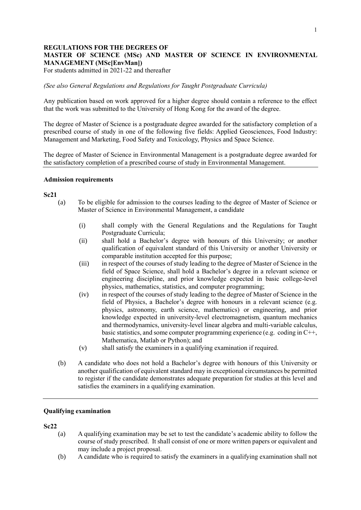# **REGULATIONS FOR THE DEGREES OF MASTER OF SCIENCE (MSc) AND MASTER OF SCIENCE IN ENVIRONMENTAL MANAGEMENT (MSc[EnvMan])**

For students admitted in 2021-22 and thereafter

*(See also General Regulations and Regulations for Taught Postgraduate Curricula)*

Any publication based on work approved for a higher degree should contain a reference to the effect that the work was submitted to the University of Hong Kong for the award of the degree.

The degree of Master of Science is a postgraduate degree awarded for the satisfactory completion of a prescribed course of study in one of the following five fields: Applied Geosciences, Food Industry: Management and Marketing, Food Safety and Toxicology, Physics and Space Science.

The degree of Master of Science in Environmental Management is a postgraduate degree awarded for the satisfactory completion of a prescribed course of study in Environmental Management.

#### **Admission requirements**

#### **Sc21**

- (a) To be eligible for admission to the courses leading to the degree of Master of Science or Master of Science in Environmental Management, a candidate
	- (i) shall comply with the General Regulations and the Regulations for Taught Postgraduate Curricula;
	- (ii) shall hold a Bachelor's degree with honours of this University; or another qualification of equivalent standard of this University or another University or comparable institution accepted for this purpose;
	- (iii) in respect of the courses of study leading to the degree of Master of Science in the field of Space Science, shall hold a Bachelor's degree in a relevant science or engineering discipline, and prior knowledge expected in basic college-level physics, mathematics, statistics, and computer programming;
	- (iv) in respect of the courses of study leading to the degree of Master of Science in the field of Physics, a Bachelor's degree with honours in a relevant science (e.g. physics, astronomy, earth science, mathematics) or engineering, and prior knowledge expected in university-level electromagnetism, quantum mechanics and thermodynamics, university-level linear algebra and multi-variable calculus, basic statistics, and some computer programming experience (e.g. coding in C++, Mathematica, Matlab or Python); and
	- (v) shall satisfy the examiners in a qualifying examination if required.
- (b) A candidate who does not hold a Bachelor's degree with honours of this University or another qualification of equivalent standard may in exceptional circumstances be permitted to register if the candidate demonstrates adequate preparation for studies at this level and satisfies the examiners in a qualifying examination.

#### **Qualifying examination**

#### **Sc22**

- (a) A qualifying examination may be set to test the candidate's academic ability to follow the course of study prescribed. It shall consist of one or more written papers or equivalent and may include a project proposal.
- (b) A candidate who is required to satisfy the examiners in a qualifying examination shall not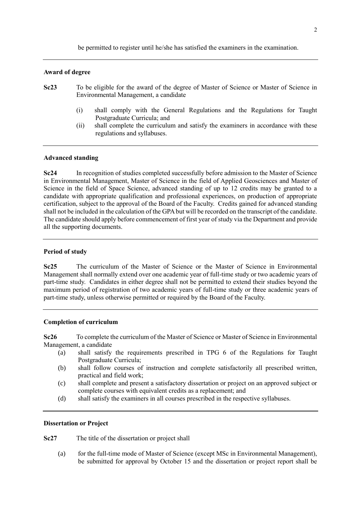be permitted to register until he/she has satisfied the examiners in the examination.

#### **Award of degree**

- **Sc23** To be eligible for the award of the degree of Master of Science or Master of Science in Environmental Management, a candidate
	- (i) shall comply with the General Regulations and the Regulations for Taught Postgraduate Curricula; and
	- (ii) shall complete the curriculum and satisfy the examiners in accordance with these regulations and syllabuses.

### **Advanced standing**

**Sc24** In recognition of studies completed successfully before admission to the Master of Science in Environmental Management, Master of Science in the field of Applied Geosciences and Master of Science in the field of Space Science, advanced standing of up to 12 credits may be granted to a candidate with appropriate qualification and professional experiences, on production of appropriate certification, subject to the approval of the Board of the Faculty. Credits gained for advanced standing shall not be included in the calculation of the GPA but will be recorded on the transcript of the candidate. The candidate should apply before commencement of first year of study via the Department and provide all the supporting documents.

#### **Period of study**

**Sc25** The curriculum of the Master of Science or the Master of Science in Environmental Management shall normally extend over one academic year of full-time study or two academic years of part-time study. Candidates in either degree shall not be permitted to extend their studies beyond the maximum period of registration of two academic years of full-time study or three academic years of part-time study, unless otherwise permitted or required by the Board of the Faculty.

#### **Completion of curriculum**

**Sc26** To complete the curriculum of the Master of Science or Master of Science in Environmental Management, a candidate

- (a) shall satisfy the requirements prescribed in TPG 6 of the Regulations for Taught Postgraduate Curricula;
- (b) shall follow courses of instruction and complete satisfactorily all prescribed written, practical and field work;
- (c) shall complete and present a satisfactory dissertation or project on an approved subject or complete courses with equivalent credits as a replacement; and
- (d) shall satisfy the examiners in all courses prescribed in the respective syllabuses.

### **Dissertation or Project**

**Sc27** The title of the dissertation or project shall

(a) for the full-time mode of Master of Science (except MSc in Environmental Management), be submitted for approval by October 15 and the dissertation or project report shall be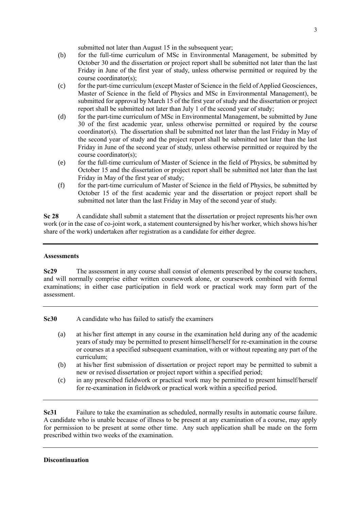submitted not later than August 15 in the subsequent year:

- (b) for the full-time curriculum of MSc in Environmental Management, be submitted by October 30 and the dissertation or project report shall be submitted not later than the last Friday in June of the first year of study, unless otherwise permitted or required by the course coordinator(s);
- (c) for the part-time curriculum (except Master of Science in the field of Applied Geosciences, Master of Science in the field of Physics and MSc in Environmental Management), be submitted for approval by March 15 of the first year of study and the dissertation or project report shall be submitted not later than July 1 of the second year of study;
- (d) for the part-time curriculum of MSc in Environmental Management, be submitted by June 30 of the first academic year, unless otherwise permitted or required by the course coordinator(s). The dissertation shall be submitted not later than the last Friday in May of the second year of study and the project report shall be submitted not later than the last Friday in June of the second year of study, unless otherwise permitted or required by the course coordinator(s);
- (e) for the full-time curriculum of Master of Science in the field of Physics, be submitted by October 15 and the dissertation or project report shall be submitted not later than the last Friday in May of the first year of study;
- (f) for the part-time curriculum of Master of Science in the field of Physics, be submitted by October 15 of the first academic year and the dissertation or project report shall be submitted not later than the last Friday in May of the second year of study.

**Sc 28** A candidate shall submit a statement that the dissertation or project represents his/her own work (or in the case of co-joint work, a statement countersigned by his/her worker, which shows his/her share of the work) undertaken after registration as a candidate for either degree.

# **Assessments**

**Sc29** The assessment in any course shall consist of elements prescribed by the course teachers, and will normally comprise either written coursework alone, or coursework combined with formal examinations; in either case participation in field work or practical work may form part of the assessment.

**Sc30** A candidate who has failed to satisfy the examiners

- (a) at his/her first attempt in any course in the examination held during any of the academic years of study may be permitted to present himself/herself for re-examination in the course or courses at a specified subsequent examination, with or without repeating any part of the curriculum;
- (b) at his/her first submission of dissertation or project report may be permitted to submit a new or revised dissertation or project report within a specified period;
- (c) in any prescribed fieldwork or practical work may be permitted to present himself/herself for re-examination in fieldwork or practical work within a specified period.

**Sc31** Failure to take the examination as scheduled, normally results in automatic course failure. A candidate who is unable because of illness to be present at any examination of a course, may apply for permission to be present at some other time. Any such application shall be made on the form prescribed within two weeks of the examination.

# **Discontinuation**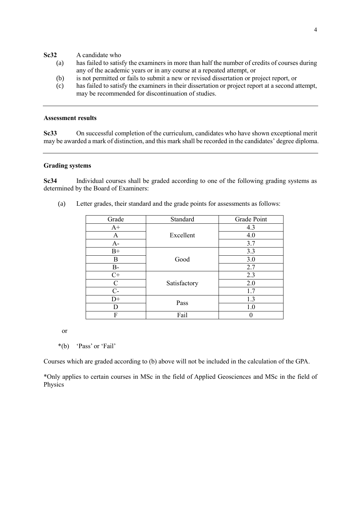### **Sc32** A candidate who

- (a) has failed to satisfy the examiners in more than half the number of credits of courses during any of the academic years or in any course at a repeated attempt, or
- (b) is not permitted or fails to submit a new or revised dissertation or project report, or
- (c) has failed to satisfy the examiners in their dissertation or project report at a second attempt, may be recommended for discontinuation of studies.

### **Assessment results**

**Sc33** On successful completion of the curriculum, candidates who have shown exceptional merit may be awarded a mark of distinction, and this mark shall be recorded in the candidates' degree diploma.

# **Grading systems**

**Sc34** Individual courses shall be graded according to one of the following grading systems as determined by the Board of Examiners:

| Grade       | Standard     | Grade Point   |
|-------------|--------------|---------------|
| $A+$        | Excellent    | 4.3           |
| A           |              | 4.0           |
| $A-$        |              | 3.7           |
| $B+$        | Good         | 3.3           |
| B           |              | 3.0           |
| $B-$        |              | 2.7           |
| $C+$        | Satisfactory | 2.3           |
| $\mathsf C$ |              | 2.0           |
| $C-$        |              | 1.7           |
| $D+$        | Pass         | 1.3           |
| D           |              | 1.0           |
| F           | Fail         | $\mathcal{O}$ |

(a) Letter grades, their standard and the grade points for assessments as follows:

or

\*(b) 'Pass' or 'Fail'

Courses which are graded according to (b) above will not be included in the calculation of the GPA.

\*Only applies to certain courses in MSc in the field of Applied Geosciences and MSc in the field of Physics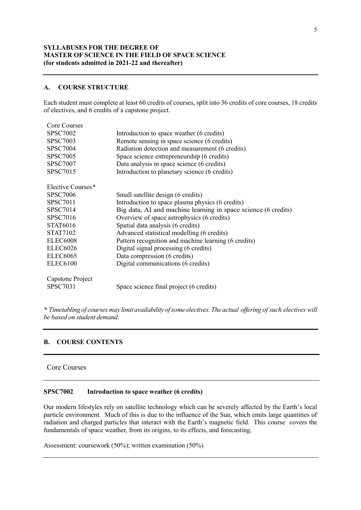## **SYLLABUSES FOR THE DEGREE OF MASTER OF SCIENCE IN THE FIELD OF SPACE SCIENCE (for students admitted in 2021-22 and thereafter)**

### **A. COURSE STRUCTURE**

Each student must complete at least 60 credits of courses, split into 36 credits of core courses, 18 credits of electives, and 6 credits of a capstone project.

| <b>Core Courses</b>  |                                                                |  |
|----------------------|----------------------------------------------------------------|--|
| <b>SPSC7002</b>      | Introduction to space weather (6 credits)                      |  |
| <b>SPSC7003</b>      | Remote sensing in space science (6 credits)                    |  |
| <b>SPSC7004</b>      | Radiation detection and measurement (6 credits)                |  |
| <b>SPSC7005</b>      | Space science entrepreneurship (6 credits)                     |  |
| <b>SPSC7007</b>      | Data analysis in space science (6 credits)                     |  |
| <b>SPSC7015</b>      | Introduction to planetary science (6 credits)                  |  |
| Elective Courses*    |                                                                |  |
| <b>SPSC7006</b>      | Small satellite design (6 credits)                             |  |
| <b>SPSC7011</b>      | Introduction to space plasma physics (6 credits)               |  |
| <b>SPSC7014</b>      | Big data, AI and machine learning in space science (6 credits) |  |
| <b>SPSC7016</b>      | Overview of space astrophysics (6 credits)                     |  |
| <b>STAT6016</b>      | Spatial data analysis (6 credits)                              |  |
| <b>STAT7102</b>      | Advanced statistical modelling (6 credits)                     |  |
| ELEC <sub>6008</sub> | Pattern recognition and machine learning (6 credits)           |  |
| <b>ELEC6026</b>      | Digital signal processing (6 credits)                          |  |
| <b>ELEC6065</b>      | Data compression (6 credits)                                   |  |
| <b>ELEC6100</b>      | Digital communications (6 credits)                             |  |
| Capstone Project     |                                                                |  |
| <b>SPSC7031</b>      | Space science final project (6 credits)                        |  |

*\* Timetablingof coursesmay limit availability ofsome electives.The actual offering of such electives will be based on student demand.*

# **B. COURSE CONTENTS**

## Core Courses

### **SPSC7002 Introduction to space weather (6 credits)**

Our modern lifestyles rely on satellite technology which can be severely affected by the Earth's local particle environment. Much of this is due to the influence of the Sun, which emits large quantities of radiation and charged particles that interact with the Earth's magnetic field. This course covers the fundamentals of space weather, from its origins, to its effects, and forecasting.

Assessment: coursework (50%); written examination (50%)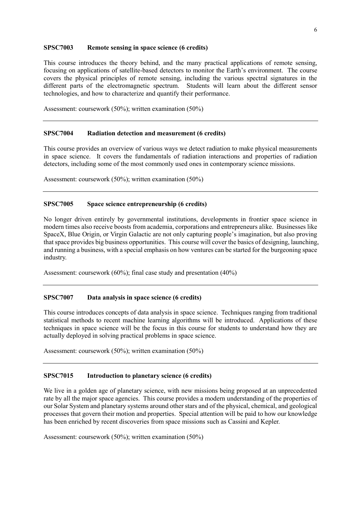#### **SPSC7003 Remote sensing in space science (6 credits)**

This course introduces the theory behind, and the many practical applications of remote sensing, focusing on applications of satellite-based detectors to monitor the Earth's environment. The course covers the physical principles of remote sensing, including the various spectral signatures in the different parts of the electromagnetic spectrum. Students will learn about the different sensor technologies, and how to characterize and quantify their performance.

Assessment: coursework (50%); written examination (50%)

#### **SPSC7004 Radiation detection and measurement (6 credits)**

This course provides an overview of various ways we detect radiation to make physical measurements in space science. It covers the fundamentals of radiation interactions and properties of radiation detectors, including some of the most commonly used ones in contemporary science missions.

Assessment: coursework (50%); written examination (50%)

### **SPSC7005 Space science entrepreneurship (6 credits)**

No longer driven entirely by governmental institutions, developments in frontier space science in modern times also receive boosts from academia, corporations and entrepreneurs alike. Businesses like SpaceX, Blue Origin, or Virgin Galactic are not only capturing people's imagination, but also proving that space provides big business opportunities. This course will cover the basics of designing, launching, and running a business, with a special emphasis on how ventures can be started for the burgeoning space industry.

Assessment: coursework (60%); final case study and presentation (40%)

#### **SPSC7007 Data analysis in space science (6 credits)**

This course introduces concepts of data analysis in space science. Techniques ranging from traditional statistical methods to recent machine learning algorithms will be introduced. Applications of these techniques in space science will be the focus in this course for students to understand how they are actually deployed in solving practical problems in space science.

Assessment: coursework (50%); written examination (50%)

## **SPSC7015 Introduction to planetary science (6 credits)**

We live in a golden age of planetary science, with new missions being proposed at an unprecedented rate by all the major space agencies. This course provides a modern understanding of the properties of our Solar System and planetary systems around other stars and of the physical, chemical, and geological processes that govern their motion and properties. Special attention will be paid to how our knowledge has been enriched by recent discoveries from space missions such as Cassini and Kepler.

Assessment: coursework (50%); written examination (50%)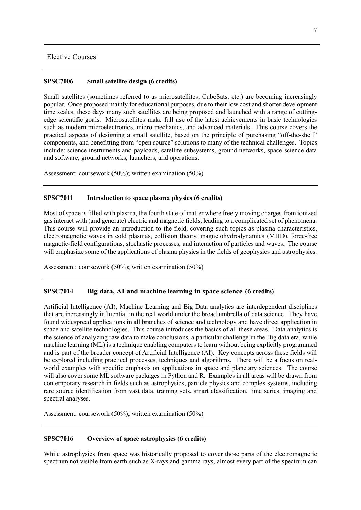## Elective Courses

### **SPSC7006 Small satellite design (6 credits)**

Small satellites (sometimes referred to as microsatellites, CubeSats, etc.) are becoming increasingly popular. Once proposed mainly for educational purposes, due to their low cost and shorter development time scales, these days many such satellites are being proposed and launched with a range of cuttingedge scientific goals. Microsatellites make full use of the latest achievements in basic technologies such as modern microelectronics, micro mechanics, and advanced materials. This course covers the practical aspects of designing a small satellite, based on the principle of purchasing "off-the-shelf" components, and benefitting from "open source" solutions to many of the technical challenges. Topics include: science instruments and payloads, satellite subsystems, ground networks, space science data and software, ground networks, launchers, and operations.

Assessment: coursework (50%); written examination (50%)

### **SPSC7011 Introduction to space plasma physics (6 credits)**

Most of space is filled with plasma, the fourth state of matter where freely moving charges from ionized gas interact with (and generate) electric and magnetic fields, leading to a complicated set of phenomena. This course will provide an introduction to the field, covering such topics as plasma characteristics, electromagnetic waves in cold plasmas, collision theory, magnetohydrodynamics (MHD), force-free magnetic-field configurations, stochastic processes, and interaction of particles and waves. The course will emphasize some of the applications of plasma physics in the fields of geophysics and astrophysics.

Assessment: coursework (50%); written examination (50%)

#### **SPSC7014 Big data, AI and machine learning in space science (6 credits)**

Artificial Intelligence (AI), Machine Learning and Big Data analytics are interdependent disciplines that are increasingly influential in the real world under the broad umbrella of data science. They have found widespread applications in all branches of science and technology and have direct application in space and satellite technologies. This course introduces the basics of all these areas. Data analytics is the science of analyzing raw data to make conclusions, a particular challenge in the Big data era, while machine learning (ML) is a technique enabling computers to learn without being explicitly programmed and is part of the broader concept of Artificial Intelligence (AI). Key concepts across these fields will be explored including practical processes, techniques and algorithms. There will be a focus on realworld examples with specific emphasis on applications in space and planetary sciences. The course will also cover some ML software packages in Python and R. Examples in all areas will be drawn from contemporary research in fields such as astrophysics, particle physics and complex systems, including rare source identification from vast data, training sets, smart classification, time series, imaging and spectral analyses.

Assessment: coursework (50%); written examination (50%)

### **SPSC7016 Overview of space astrophysics (6 credits)**

While astrophysics from space was historically proposed to cover those parts of the electromagnetic spectrum not visible from earth such as X-rays and gamma rays, almost every part of the spectrum can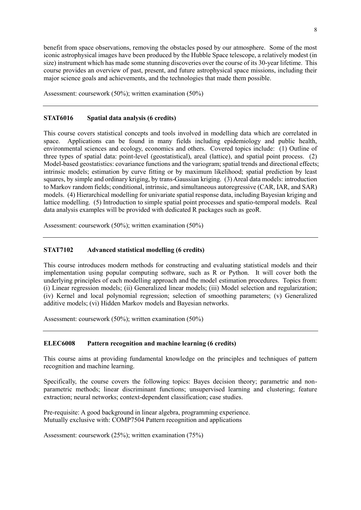benefit from space observations, removing the obstacles posed by our atmosphere. Some of the most iconic astrophysical images have been produced by the Hubble Space telescope, a relatively modest (in size) instrument which has made some stunning discoveries over the course of its 30-year lifetime. This course provides an overview of past, present, and future astrophysical space missions, including their major science goals and achievements, and the technologies that made them possible.

Assessment: coursework (50%); written examination (50%)

## **STAT6016 Spatial data analysis (6 credits)**

This course covers statistical concepts and tools involved in modelling data which are correlated in space. Applications can be found in many fields including epidemiology and public health, environmental sciences and ecology, economics and others. Covered topics include: (1) Outline of three types of spatial data: point-level (geostatistical), areal (lattice), and spatial point process. (2) Model-based geostatistics: covariance functions and the variogram; spatial trends and directional effects; intrinsic models; estimation by curve fitting or by maximum likelihood; spatial prediction by least squares, by simple and ordinary kriging, by trans-Gaussian kriging. (3) Areal data models: introduction to Markov random fields; conditional, intrinsic, and simultaneous autoregressive (CAR, IAR, and SAR) models. (4) Hierarchical modelling for univariate spatial response data, including Bayesian kriging and lattice modelling. (5) Introduction to simple spatial point processes and spatio-temporal models. Real data analysis examples will be provided with dedicated R packages such as geoR.

Assessment: coursework (50%); written examination (50%)

#### **STAT7102 Advanced statistical modelling (6 credits)**

This course introduces modern methods for constructing and evaluating statistical models and their implementation using popular computing software, such as R or Python. It will cover both the underlying principles of each modelling approach and the model estimation procedures. Topics from: (i) Linear regression models; (ii) Generalized linear models; (iii) Model selection and regularization; (iv) Kernel and local polynomial regression; selection of smoothing parameters; (v) Generalized additive models; (vi) Hidden Markov models and Bayesian networks.

Assessment: coursework (50%); written examination (50%)

#### **ELEC6008 Pattern recognition and machine learning (6 credits)**

This course aims at providing fundamental knowledge on the principles and techniques of pattern recognition and machine learning.

Specifically, the course covers the following topics: Bayes decision theory; parametric and nonparametric methods; linear discriminant functions; unsupervised learning and clustering; feature extraction; neural networks; context-dependent classification; case studies.

Pre-requisite: A good background in linear algebra, programming experience. Mutually exclusive with: COMP7504 Pattern recognition and applications

Assessment: coursework (25%); written examination (75%)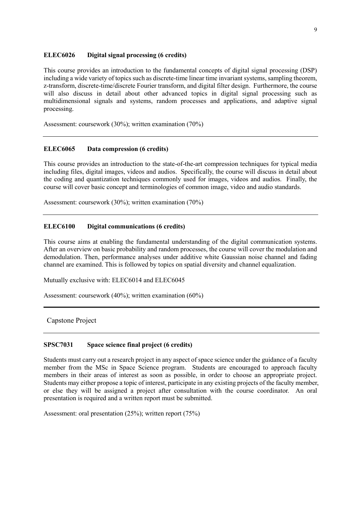#### **ELEC6026 Digital signal processing (6 credits)**

This course provides an introduction to the fundamental concepts of digital signal processing (DSP) including a wide variety of topics such as discrete-time linear time invariant systems, sampling theorem, z-transform, discrete-time/discrete Fourier transform, and digital filter design. Furthermore, the course will also discuss in detail about other advanced topics in digital signal processing such as multidimensional signals and systems, random processes and applications, and adaptive signal processing.

Assessment: coursework (30%); written examination (70%)

# **ELEC6065 Data compression (6 credits)**

This course provides an introduction to the state-of-the-art compression techniques for typical media including files, digital images, videos and audios. Specifically, the course will discuss in detail about the coding and quantization techniques commonly used for images, videos and audios. Finally, the course will cover basic concept and terminologies of common image, video and audio standards.

Assessment: coursework (30%); written examination (70%)

## **ELEC6100 Digital communications (6 credits)**

This course aims at enabling the fundamental understanding of the digital communication systems. After an overview on basic probability and random processes, the course will cover the modulation and demodulation. Then, performance analyses under additive white Gaussian noise channel and fading channel are examined. This is followed by topics on spatial diversity and channel equalization.

Mutually exclusive with: ELEC6014 and ELEC6045

Assessment: coursework (40%); written examination (60%)

Capstone Project

### **SPSC7031 Space science final project (6 credits)**

Students must carry out a research project in any aspect of space science under the guidance of a faculty member from the MSc in Space Science program. Students are encouraged to approach faculty members in their areas of interest as soon as possible, in order to choose an appropriate project. Students may either propose a topic of interest, participate in any existing projects of the faculty member, or else they will be assigned a project after consultation with the course coordinator. An oral presentation is required and a written report must be submitted.

Assessment: oral presentation (25%); written report (75%)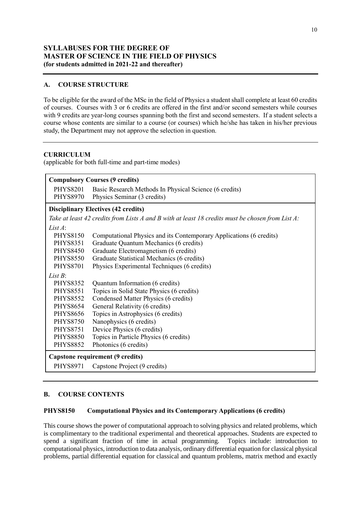# **SYLLABUSES FOR THE DEGREE OF MASTER OF SCIENCE IN THE FIELD OF PHYSICS (for students admitted in 2021-22 and thereafter)**

# **A. COURSE STRUCTURE**

To be eligible for the award of the MSc in the field of Physics a student shall complete at least 60 credits of courses.Courses with 3 or 6 credits are offered in the first and/or second semesters while courses with 9 credits are year-long courses spanning both the first and second semesters. If a student selects a course whose contents are similar to a course (or courses) which he/she has taken in his/her previous study, the Department may not approve the selection in question.

# **CURRICULUM**

(applicable for both full-time and part-time modes)

| <b>PHYS8201</b><br>Basic Research Methods In Physical Science (6 credits)<br><b>PHYS8970</b><br>Physics Seminar (3 credits)<br>Take at least 42 credits from Lists A and B with at least 18 credits must be chosen from List A:<br><b>PHYS8150</b><br>Computational Physics and its Contemporary Applications (6 credits)<br>Graduate Quantum Mechanics (6 credits)<br><b>PHYS8351</b><br>Graduate Electromagnetism (6 credits)<br><b>PHYS8450</b><br>Graduate Statistical Mechanics (6 credits)<br><b>PHYS8550</b><br>Physics Experimental Techniques (6 credits)<br><b>PHYS8701</b><br><b>PHYS8352</b><br>Quantum Information (6 credits)<br>Topics in Solid State Physics (6 credits)<br><b>PHYS8551</b><br>Condensed Matter Physics (6 credits)<br><b>PHYS8552</b><br><b>PHYS8654</b><br>General Relativity (6 credits)<br>Topics in Astrophysics (6 credits)<br><b>PHYS8656</b><br>Nanophysics (6 credits)<br><b>PHYS8750</b><br>Device Physics (6 credits)<br><b>PHYS8751</b><br>Topics in Particle Physics (6 credits)<br><b>PHYS8850</b><br><b>PHYS8852</b><br>Photonics (6 credits)<br>Capstone requirement (9 credits) | <b>Compulsory Courses (9 credits)</b>      |  |  |
|----------------------------------------------------------------------------------------------------------------------------------------------------------------------------------------------------------------------------------------------------------------------------------------------------------------------------------------------------------------------------------------------------------------------------------------------------------------------------------------------------------------------------------------------------------------------------------------------------------------------------------------------------------------------------------------------------------------------------------------------------------------------------------------------------------------------------------------------------------------------------------------------------------------------------------------------------------------------------------------------------------------------------------------------------------------------------------------------------------------------------------|--------------------------------------------|--|--|
|                                                                                                                                                                                                                                                                                                                                                                                                                                                                                                                                                                                                                                                                                                                                                                                                                                                                                                                                                                                                                                                                                                                                  |                                            |  |  |
|                                                                                                                                                                                                                                                                                                                                                                                                                                                                                                                                                                                                                                                                                                                                                                                                                                                                                                                                                                                                                                                                                                                                  | <b>Disciplinary Electives (42 credits)</b> |  |  |
|                                                                                                                                                                                                                                                                                                                                                                                                                                                                                                                                                                                                                                                                                                                                                                                                                                                                                                                                                                                                                                                                                                                                  |                                            |  |  |
|                                                                                                                                                                                                                                                                                                                                                                                                                                                                                                                                                                                                                                                                                                                                                                                                                                                                                                                                                                                                                                                                                                                                  | List $A$ :                                 |  |  |
|                                                                                                                                                                                                                                                                                                                                                                                                                                                                                                                                                                                                                                                                                                                                                                                                                                                                                                                                                                                                                                                                                                                                  |                                            |  |  |
|                                                                                                                                                                                                                                                                                                                                                                                                                                                                                                                                                                                                                                                                                                                                                                                                                                                                                                                                                                                                                                                                                                                                  |                                            |  |  |
|                                                                                                                                                                                                                                                                                                                                                                                                                                                                                                                                                                                                                                                                                                                                                                                                                                                                                                                                                                                                                                                                                                                                  |                                            |  |  |
|                                                                                                                                                                                                                                                                                                                                                                                                                                                                                                                                                                                                                                                                                                                                                                                                                                                                                                                                                                                                                                                                                                                                  |                                            |  |  |
|                                                                                                                                                                                                                                                                                                                                                                                                                                                                                                                                                                                                                                                                                                                                                                                                                                                                                                                                                                                                                                                                                                                                  |                                            |  |  |
|                                                                                                                                                                                                                                                                                                                                                                                                                                                                                                                                                                                                                                                                                                                                                                                                                                                                                                                                                                                                                                                                                                                                  | <i>List B</i> :                            |  |  |
|                                                                                                                                                                                                                                                                                                                                                                                                                                                                                                                                                                                                                                                                                                                                                                                                                                                                                                                                                                                                                                                                                                                                  |                                            |  |  |
|                                                                                                                                                                                                                                                                                                                                                                                                                                                                                                                                                                                                                                                                                                                                                                                                                                                                                                                                                                                                                                                                                                                                  |                                            |  |  |
|                                                                                                                                                                                                                                                                                                                                                                                                                                                                                                                                                                                                                                                                                                                                                                                                                                                                                                                                                                                                                                                                                                                                  |                                            |  |  |
|                                                                                                                                                                                                                                                                                                                                                                                                                                                                                                                                                                                                                                                                                                                                                                                                                                                                                                                                                                                                                                                                                                                                  |                                            |  |  |
|                                                                                                                                                                                                                                                                                                                                                                                                                                                                                                                                                                                                                                                                                                                                                                                                                                                                                                                                                                                                                                                                                                                                  |                                            |  |  |
|                                                                                                                                                                                                                                                                                                                                                                                                                                                                                                                                                                                                                                                                                                                                                                                                                                                                                                                                                                                                                                                                                                                                  |                                            |  |  |
|                                                                                                                                                                                                                                                                                                                                                                                                                                                                                                                                                                                                                                                                                                                                                                                                                                                                                                                                                                                                                                                                                                                                  |                                            |  |  |
|                                                                                                                                                                                                                                                                                                                                                                                                                                                                                                                                                                                                                                                                                                                                                                                                                                                                                                                                                                                                                                                                                                                                  |                                            |  |  |
|                                                                                                                                                                                                                                                                                                                                                                                                                                                                                                                                                                                                                                                                                                                                                                                                                                                                                                                                                                                                                                                                                                                                  |                                            |  |  |
|                                                                                                                                                                                                                                                                                                                                                                                                                                                                                                                                                                                                                                                                                                                                                                                                                                                                                                                                                                                                                                                                                                                                  |                                            |  |  |
| <b>PHYS8971</b><br>Capstone Project (9 credits)                                                                                                                                                                                                                                                                                                                                                                                                                                                                                                                                                                                                                                                                                                                                                                                                                                                                                                                                                                                                                                                                                  |                                            |  |  |

# **B. COURSE CONTENTS**

# **PHYS8150 Computational Physics and its Contemporary Applications (6 credits)**

This course shows the power of computational approach to solving physics and related problems, which is complimentary to the traditional experimental and theoretical approaches. Students are expected to spend a significant fraction of time in actual programming. Topics include: introduction to computational physics, introduction to data analysis, ordinary differential equation for classical physical problems, partial differential equation for classical and quantum problems, matrix method and exactly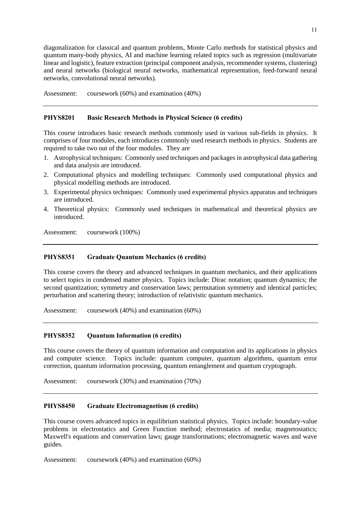diagonalization for classical and quantum problems, Monte Carlo methods for statistical physics and quantum many-body physics, AI and machine learning related topics such as regression (multivariate linear and logistic), feature extraction (principal component analysis, recommender systems, clustering) and neural networks (biological neural networks, mathematical representation, feed-forward neural networks, convolutional neural networks).

Assessment: coursework (60%) and examination (40%)

# **PHYS8201 Basic Research Methods in Physical Science (6 credits)**

This course introduces basic research methods commonly used in various sub-fields in physics. It comprises of four modules, each introduces commonly used research methods in physics. Students are required to take two out of the four modules. They are

- 1. Astrophysical techniques: Commonly used techniques and packages in astrophysical data gathering and data analysis are introduced.
- 2. Computational physics and modelling techniques: Commonly used computational physics and physical modelling methods are introduced.
- 3. Experimental physics techniques: Commonly used experimental physics apparatus and techniques are introduced.
- 4. Theoretical physics: Commonly used techniques in mathematical and theoretical physics are introduced.

Assessment: coursework (100%)

# **PHYS8351 Graduate Quantum Mechanics (6 credits)**

This course covers the theory and advanced techniques in quantum mechanics, and their applications to select topics in condensed matter physics. Topics include: Dirac notation; quantum dynamics; the second quantization; symmetry and conservation laws; permutation symmetry and identical particles; perturbation and scattering theory; introduction of relativistic quantum mechanics.

Assessment: coursework (40%) and examination (60%)

### **PHYS8352 Quantum Information (6 credits)**

This course covers the theory of quantum information and computation and its applications in physics and computer science. Topics include: quantum computer, quantum algorithms, quantum error correction, quantum information processing, quantum entanglement and quantum cryptograph.

Assessment: coursework (30%) and examination (70%)

#### **PHYS8450 Graduate Electromagnetism (6 credits)**

This course covers advanced topics in equilibrium statistical physics. Topics include: boundary-value problems in electrostatics and Green Function method; electrostatics of media; magnetostatics; Maxwell's equations and conservation laws; gauge transformations; electromagnetic waves and wave guides.

Assessment: coursework (40%) and examination (60%)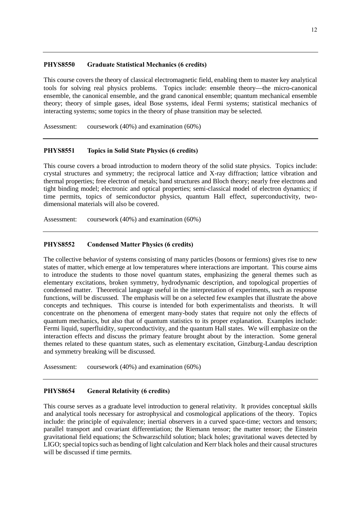## **PHYS8550 Graduate Statistical Mechanics (6 credits)**

This course covers the theory of classical electromagnetic field, enabling them to master key analytical tools for solving real physics problems. Topics include: ensemble theory—the micro-canonical ensemble, the canonical ensemble, and the grand canonical ensemble; quantum mechanical ensemble theory; theory of simple gases, ideal Bose systems, ideal Fermi systems; statistical mechanics of interacting systems; some topics in the theory of phase transition may be selected.

Assessment: coursework (40%) and examination (60%)

# **PHYS8551 Topics in Solid State Physics (6 credits)**

This course covers a broad introduction to modern theory of the solid state physics. Topics include: crystal structures and symmetry; the reciprocal lattice and X-ray diffraction; lattice vibration and thermal properties; free electron of metals; band structures and Bloch theory; nearly free electrons and tight binding model; electronic and optical properties; semi-classical model of electron dynamics; if time permits, topics of semiconductor physics, quantum Hall effect, superconductivity, twodimensional materials will also be covered.

Assessment: coursework (40%) and examination (60%)

# **PHYS8552 Condensed Matter Physics (6 credits)**

The collective behavior of systems consisting of many particles (bosons or fermions) gives rise to new states of matter, which emerge at low temperatures where interactions are important. This course aims to introduce the students to those novel quantum states, emphasizing the general themes such as elementary excitations, broken symmetry, hydrodynamic description, and topological properties of condensed matter. Theoretical language useful in the interpretation of experiments, such as response functions, will be discussed. The emphasis will be on a selected few examples that illustrate the above concepts and techniques. This course is intended for both experimentalists and theorists. It will concentrate on the phenomena of emergent many-body states that require not only the effects of quantum mechanics, but also that of quantum statistics to its proper explanation. Examples include: Fermi liquid, superfluidity, superconductivity, and the quantum Hall states. We will emphasize on the interaction effects and discuss the primary feature brought about by the interaction. Some general themes related to these quantum states, such as elementary excitation, Ginzburg-Landau description and symmetry breaking will be discussed.

Assessment: coursework (40%) and examination (60%)

# **PHYS8654 General Relativity (6 credits)**

This course serves as a graduate level introduction to general relativity. It provides conceptual skills and analytical tools necessary for astrophysical and cosmological applications of the theory. Topics include: the principle of equivalence; inertial observers in a curved space-time; vectors and tensors; parallel transport and covariant differentiation; the Riemann tensor; the matter tensor; the Einstein gravitational field equations; the Schwarzschild solution; black holes; gravitational waves detected by LIGO; special topics such as bending of light calculation and Kerr black holes and their causal structures will be discussed if time permits.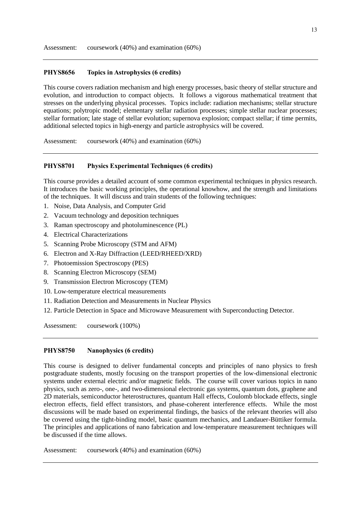### **PHYS8656 Topics in Astrophysics (6 credits)**

This course covers radiation mechanism and high energy processes, basic theory of stellar structure and evolution, and introduction to compact objects. It follows a vigorous mathematical treatment that stresses on the underlying physical processes. Topics include: radiation mechanisms; stellar structure equations; polytropic model; elementary stellar radiation processes; simple stellar nuclear processes; stellar formation; late stage of stellar evolution; supernova explosion; compact stellar; if time permits, additional selected topics in high-energy and particle astrophysics will be covered.

Assessment: coursework (40%) and examination (60%)

### **PHYS8701 Physics Experimental Techniques (6 credits)**

This course provides a detailed account of some common experimental techniques in physics research. It introduces the basic working principles, the operational knowhow, and the strength and limitations of the techniques. It will discuss and train students of the following techniques:

- 1. Noise, Data Analysis, and Computer Grid
- 2. Vacuum technology and deposition techniques
- 3. Raman spectroscopy and photoluminescence (PL)
- 4. Electrical Characterizations
- 5. Scanning Probe Microscopy (STM and AFM)
- 6. Electron and X-Ray Diffraction (LEED/RHEED/XRD)
- 7. Photoemission Spectroscopy (PES)
- 8. Scanning Electron Microscopy (SEM)
- 9. Transmission Electron Microscopy (TEM)
- 10. Low-temperature electrical measurements
- 11. Radiation Detection and Measurements in Nuclear Physics
- 12. Particle Detection in Space and Microwave Measurement with Superconducting Detector.

Assessment: coursework (100%)

#### **PHYS8750 Nanophysics (6 credits)**

This course is designed to deliver fundamental concepts and principles of nano physics to fresh postgraduate students, mostly focusing on the transport properties of the low-dimensional electronic systems under external electric and/or magnetic fields. The course will cover various topics in nano physics, such as zero-, one-, and two-dimensional electronic gas systems, quantum dots, graphene and 2D materials, semiconductor heterostructures, quantum Hall effects, Coulomb blockade effects, single electron effects, field effect transistors, and phase-coherent interference effects. While the most discussions will be made based on experimental findings, the basics of the relevant theories will also be covered using the tight-binding model, basic quantum mechanics, and Landauer-Büttiker formula. The principles and applications of nano fabrication and low-temperature measurement techniques will be discussed if the time allows.

Assessment: coursework (40%) and examination (60%)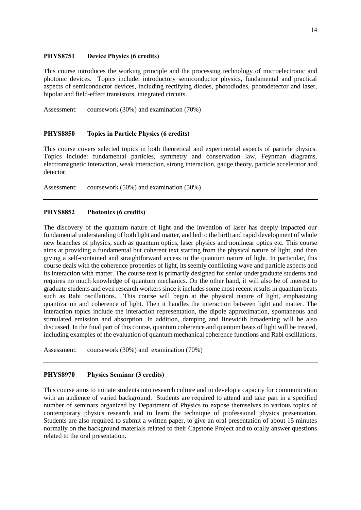### **PHYS8751 Device Physics (6 credits)**

This course introduces the working principle and the processing technology of microelectronic and photonic devices. Topics include: introductory semiconductor physics, fundamental and practical aspects of semiconductor devices, including rectifying diodes, photodiodes, photodetector and laser, bipolar and field-effect transistors, integrated circuits.

Assessment: coursework (30%) and examination (70%)

### **PHYS8850 Topics in Particle Physics (6 credits)**

This course covers selected topics in both theoretical and experimental aspects of particle physics. Topics include: fundamental particles, symmetry and conservation law, Feynman diagrams, electromagnetic interaction, weak interaction, strong interaction, gauge theory, particle accelerator and detector.

Assessment: coursework (50%) and examination (50%)

### **PHYS8852 Photonics (6 credits)**

The discovery of the quantum nature of light and the invention of laser has deeply impacted our fundamental understanding of both light and matter, and led to the birth and rapid development of whole new branches of physics, such as quantum optics, laser physics and nonlinear optics etc. This course aims at providing a fundamental but coherent text starting from the physical nature of light, and then giving a self-contained and straightforward access to the quantum nature of light. In particular, this course deals with the coherence properties of light, its seemly conflicting wave and particle aspects and its interaction with matter. The course text is primarily designed for senior undergraduate students and requires no much knowledge of quantum mechanics. On the other hand, it will also be of interest to graduate students and even research workers since it includes some most recent results in quantum beats such as Rabi oscillations. This course will begin at the physical nature of light, emphasizing quantization and coherence of light. Then it handles the interaction between light and matter. The interaction topics include the interaction representation, the dipole approximation, spontaneous and stimulated emission and absorption. In addition, damping and linewidth broadening will be also discussed. In the final part of this course, quantum coherence and quantum beats of light will be treated, including examples of the evaluation of quantum mechanical coherence functions and Rabi oscillations.

Assessment: coursework (30%) and examination (70%)

# **PHYS8970 Physics Seminar (3 credits)**

This course aims to initiate students into research culture and to develop a capacity for communication with an audience of varied background. Students are required to attend and take part in a specified number of seminars organized by Department of Physics to expose themselves to various topics of contemporary physics research and to learn the technique of professional physics presentation. Students are also required to submit a written paper, to give an oral presentation of about 15 minutes normally on the background materials related to their Capstone Project and to orally answer questions related to the oral presentation.